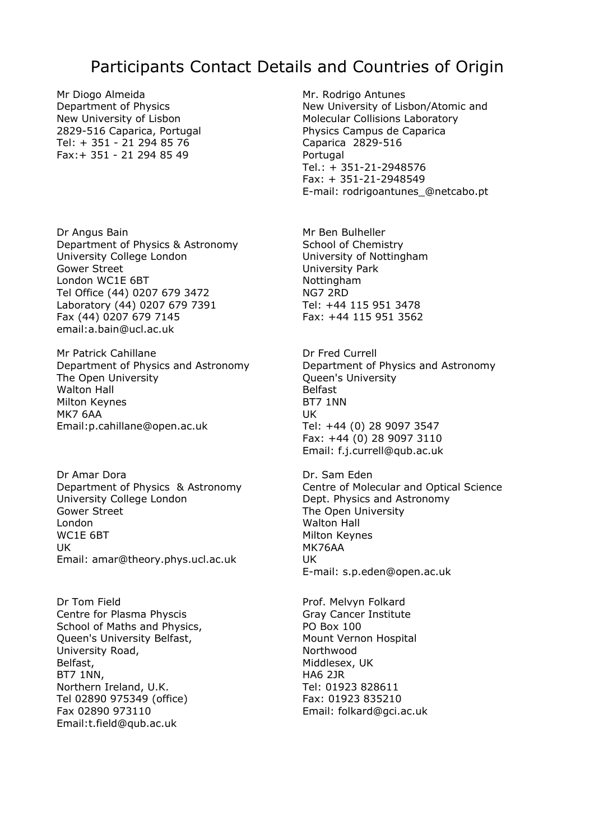## Participants Contact Details and Countries of Origin

Mr Diogo Almeida Department of Physics New University of Lisbon 2829-516 Caparica, Portugal Tel: + 351 - 21 294 85 76 Fax:+ 351 - 21 294 85 49

Dr Angus Bain Department of Physics & Astronomy University College London Gower Street London WC1E 6BT Tel Office (44) 0207 679 3472 Laboratory (44) 0207 679 7391 Fax (44) 0207 679 7145 email:a.bain@ucl.ac.uk

Mr Patrick Cahillane Department of Physics and Astronomy The Open University Walton Hall Milton Keynes MK7 6AA Email:p.cahillane@open.ac.uk

Dr Amar Dora Department of Physics & Astronomy University College London Gower Street London WC1E 6BT UK Email: amar@theory.phys.ucl.ac.uk

Dr Tom Field Centre for Plasma Physcis School of Maths and Physics, Queen's University Belfast, University Road, Belfast, BT7 1NN, Northern Ireland, U.K. Tel 02890 975349 (office) Fax 02890 973110 Email:t.field@qub.ac.uk

Mr. Rodrigo Antunes New University of Lisbon/Atomic and Molecular Collisions Laboratory Physics Campus de Caparica Caparica 2829-516 Portugal Tel.: + 351-21-2948576 Fax: + 351-21-2948549 E-mail: rodrigoantunes\_@netcabo.pt

Mr Ben Bulheller School of Chemistry University of Nottingham University Park Nottingham NG7 2RD Tel: +44 115 951 3478 Fax: +44 115 951 3562

Dr Fred Currell Department of Physics and Astronomy Queen's University Belfast BT7 1NN UK Tel: +44 (0) 28 9097 3547 Fax: +44 (0) 28 9097 3110 Email: f.j.currell@qub.ac.uk

Dr. Sam Eden Centre of Molecular and Optical Science Dept. Physics and Astronomy The Open University Walton Hall Milton Keynes MK76AA UK E-mail: s.p.eden@open.ac.uk

Prof. Melvyn Folkard Gray Cancer Institute PO Box 100 Mount Vernon Hospital Northwood Middlesex, UK HA6 2JR Tel: 01923 828611 Fax: 01923 835210 Email: folkard@gci.ac.uk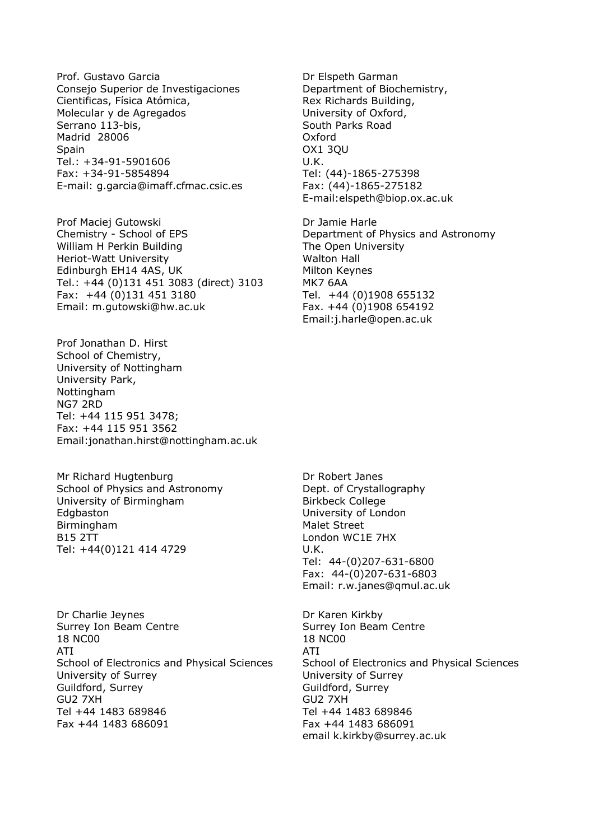Prof. Gustavo Garcia Consejo Superior de Investigaciones Cientificas, Física Atómica, Molecular y de Agregados Serrano 113-bis, Madrid 28006 Spain Tel.: +34-91-5901606 Fax: +34-91-5854894 E-mail: g.garcia@imaff.cfmac.csic.es

Prof Maciej Gutowski Chemistry - School of EPS William H Perkin Building Heriot-Watt University Edinburgh EH14 4AS, UK Tel.: +44 (0)131 451 3083 (direct) 3103 Fax: +44 (0)131 451 3180 Email: m.gutowski@hw.ac.uk

Prof Jonathan D. Hirst School of Chemistry, University of Nottingham University Park, Nottingham NG7 2RD Tel: +44 115 951 3478; Fax: +44 115 951 3562 Email:jonathan.hirst@nottingham.ac.uk

Mr Richard Hugtenburg School of Physics and Astronomy University of Birmingham Edgbaston Birmingham B15 2TT Tel: +44(0)121 414 4729

Dr Charlie Jeynes Surrey Ion Beam Centre 18 NC00 ATI School of Electronics and Physical Sciences University of Surrey Guildford, Surrey GU2 7XH Tel +44 1483 689846 Fax +44 1483 686091

Dr Elspeth Garman Department of Biochemistry, Rex Richards Building, University of Oxford, South Parks Road Oxford OX1 3QU U.K. Tel: (44)-1865-275398 Fax: (44)-1865-275182 E-mail:elspeth@biop.ox.ac.uk

Dr Jamie Harle Department of Physics and Astronomy The Open University Walton Hall Milton Keynes MK7 6AA Tel. +44 (0)1908 655132 Fax. +44 (0)1908 654192 Email:j.harle@open.ac.uk

Dr Robert Janes Dept. of Crystallography Birkbeck College University of London Malet Street London WC1E 7HX U.K. Tel: 44-(0)207-631-6800 Fax: 44-(0)207-631-6803 Email: r.w.janes@qmul.ac.uk

Dr Karen Kirkby Surrey Ion Beam Centre 18 NC00 ATI School of Electronics and Physical Sciences University of Surrey Guildford, Surrey GU2 7XH Tel +44 1483 689846 Fax +44 1483 686091 email k.kirkby@surrey.ac.uk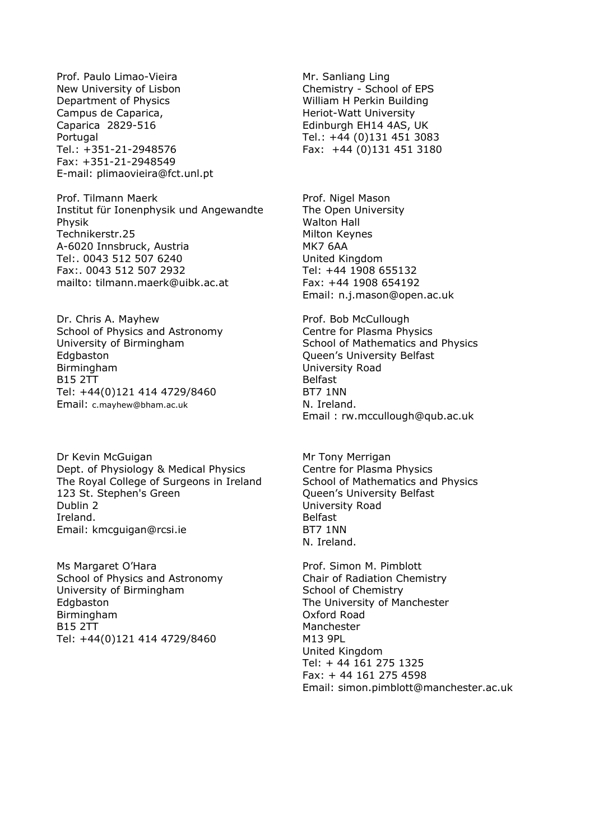Prof. Paulo Limao-Vieira New University of Lisbon Department of Physics Campus de Caparica, Caparica 2829-516 Portugal Tel.: +351-21-2948576 Fax: +351-21-2948549 E-mail: plimaovieira@fct.unl.pt

Prof. Tilmann Maerk Institut für Ionenphysik und Angewandte Physik Technikerstr.25 A-6020 Innsbruck, Austria Tel:. 0043 512 507 6240 Fax:. 0043 512 507 2932 mailto: tilmann.maerk@uibk.ac.at

Dr. Chris A. Mayhew School of Physics and Astronomy University of Birmingham Edgbaston **Birmingham** B15 2TT Tel: +44(0)121 414 4729/8460 Email: c.mayhew@bham.ac.uk

Dr Kevin McGuigan Dept. of Physiology & Medical Physics The Royal College of Surgeons in Ireland 123 St. Stephen's Green Dublin 2 Ireland. Email: kmcguigan@rcsi.ie

Ms Margaret O'Hara School of Physics and Astronomy University of Birmingham Edgbaston Birmingham B15 2TT Tel: +44(0)121 414 4729/8460

Mr. Sanliang Ling Chemistry - School of EPS William H Perkin Building Heriot-Watt University Edinburgh EH14 4AS, UK Tel.: +44 (0)131 451 3083 Fax: +44 (0)131 451 3180

Prof. Nigel Mason The Open University Walton Hall Milton Keynes MK7 6AA United Kingdom Tel: +44 1908 655132 Fax: +44 1908 654192 Email: n.j.mason@open.ac.uk

Prof. Bob McCullough Centre for Plasma Physics School of Mathematics and Physics Queen's University Belfast University Road Belfast BT7 1NN N. Ireland. Email : rw.mccullough@qub.ac.uk

Mr Tony Merrigan Centre for Plasma Physics School of Mathematics and Physics Queen's University Belfast University Road Belfast BT7 1NN N. Ireland.

Prof. Simon M. Pimblott Chair of Radiation Chemistry School of Chemistry The University of Manchester Oxford Road Manchester M13 9PL United Kingdom Tel: + 44 161 275 1325 Fax: + 44 161 275 4598 Email: simon.pimblott@manchester.ac.uk